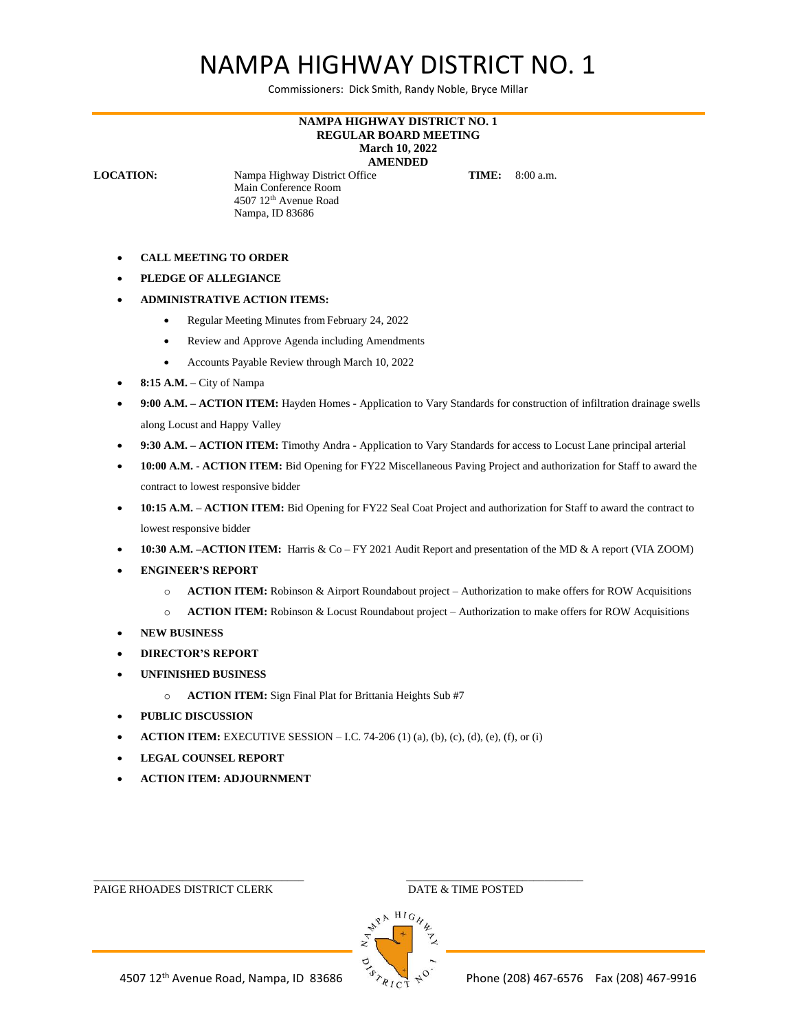## NAMPA HIGHWAY DISTRICT NO. 1

Commissioners: Dick Smith, Randy Noble, Bryce Millar

## **NAMPA HIGHWAY DISTRICT NO. 1 REGULAR BOARD MEETING March 10, 2022 AMENDED**

**LOCATION:** Nampa Highway District Office **TIME:** 8:00 a.m. Main Conference Room 4507 12th Avenue Road Nampa, ID 83686

- **CALL MEETING TO ORDER**
- **PLEDGE OF ALLEGIANCE**
- **ADMINISTRATIVE ACTION ITEMS:**
	- Regular Meeting Minutes from February 24, 2022
	- Review and Approve Agenda including Amendments
	- Accounts Payable Review through March 10, 2022
- **8:15 A.M. –** City of Nampa
- **9:00 A.M. – ACTION ITEM:** Hayden Homes Application to Vary Standards for construction of infiltration drainage swells along Locust and Happy Valley
- **9:30 A.M. – ACTION ITEM:** Timothy Andra Application to Vary Standards for access to Locust Lane principal arterial
- **10:00 A.M. - ACTION ITEM:** Bid Opening for FY22 Miscellaneous Paving Project and authorization for Staff to award the contract to lowest responsive bidder
- **10:15 A.M. – ACTION ITEM:** Bid Opening for FY22 Seal Coat Project and authorization for Staff to award the contract to lowest responsive bidder
- **10:30 A.M. –ACTION ITEM:** Harris & Co FY 2021 Audit Report and presentation of the MD & A report (VIA ZOOM)
- **ENGINEER'S REPORT**
	- o **ACTION ITEM:** Robinson & Airport Roundabout project Authorization to make offers for ROW Acquisitions
	- o **ACTION ITEM:** Robinson & Locust Roundabout project Authorization to make offers for ROW Acquisitions
- **NEW BUSINESS**
- **DIRECTOR'S REPORT**
- **UNFINISHED BUSINESS**
	- o **ACTION ITEM:** Sign Final Plat for Brittania Heights Sub #7
- **PUBLIC DISCUSSION**
- **ACTION ITEM:** EXECUTIVE SESSION I.C. 74-206 (1) (a), (b), (c), (d), (e), (f), or (i)

\_\_\_\_\_\_\_\_\_\_\_\_\_\_\_\_\_\_\_\_\_\_\_\_\_\_\_\_\_\_\_\_\_\_\_\_\_\_ \_\_\_\_\_\_\_\_\_\_\_\_\_\_\_\_\_\_\_\_\_\_\_\_\_\_\_\_\_\_\_\_

- **LEGAL COUNSEL REPORT**
- **ACTION ITEM: ADJOURNMENT**

PAIGE RHOADES DISTRICT CLERK DATE & TIME POSTED

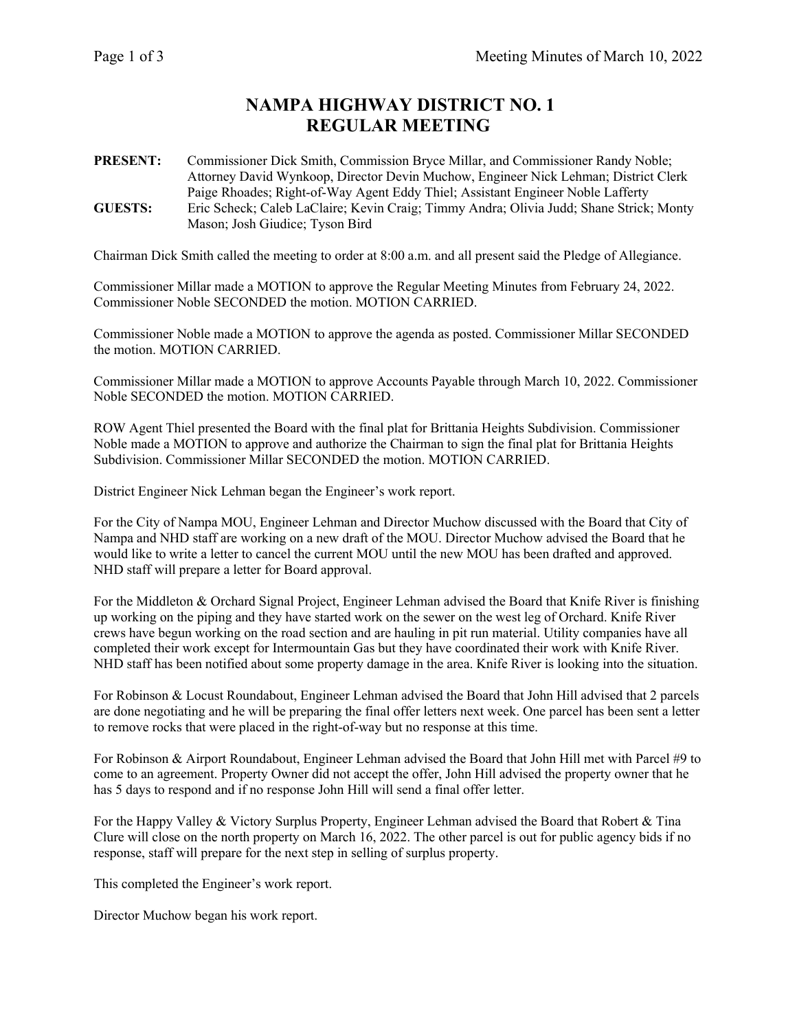## **NAMPA HIGHWAY DISTRICT NO. 1 REGULAR MEETING**

**PRESENT:** Commissioner Dick Smith, Commission Bryce Millar, and Commissioner Randy Noble; Attorney David Wynkoop, Director Devin Muchow, Engineer Nick Lehman; District Clerk Paige Rhoades; Right-of-Way Agent Eddy Thiel; Assistant Engineer Noble Lafferty **GUESTS:** Eric Scheck; Caleb LaClaire; Kevin Craig; Timmy Andra; Olivia Judd; Shane Strick; Monty Mason; Josh Giudice; Tyson Bird

Chairman Dick Smith called the meeting to order at 8:00 a.m. and all present said the Pledge of Allegiance.

Commissioner Millar made a MOTION to approve the Regular Meeting Minutes from February 24, 2022. Commissioner Noble SECONDED the motion. MOTION CARRIED.

Commissioner Noble made a MOTION to approve the agenda as posted. Commissioner Millar SECONDED the motion. MOTION CARRIED.

Commissioner Millar made a MOTION to approve Accounts Payable through March 10, 2022. Commissioner Noble SECONDED the motion. MOTION CARRIED.

ROW Agent Thiel presented the Board with the final plat for Brittania Heights Subdivision. Commissioner Noble made a MOTION to approve and authorize the Chairman to sign the final plat for Brittania Heights Subdivision. Commissioner Millar SECONDED the motion. MOTION CARRIED.

District Engineer Nick Lehman began the Engineer's work report.

For the City of Nampa MOU, Engineer Lehman and Director Muchow discussed with the Board that City of Nampa and NHD staff are working on a new draft of the MOU. Director Muchow advised the Board that he would like to write a letter to cancel the current MOU until the new MOU has been drafted and approved. NHD staff will prepare a letter for Board approval.

For the Middleton & Orchard Signal Project, Engineer Lehman advised the Board that Knife River is finishing up working on the piping and they have started work on the sewer on the west leg of Orchard. Knife River crews have begun working on the road section and are hauling in pit run material. Utility companies have all completed their work except for Intermountain Gas but they have coordinated their work with Knife River. NHD staff has been notified about some property damage in the area. Knife River is looking into the situation.

For Robinson & Locust Roundabout, Engineer Lehman advised the Board that John Hill advised that 2 parcels are done negotiating and he will be preparing the final offer letters next week. One parcel has been sent a letter to remove rocks that were placed in the right-of-way but no response at this time.

For Robinson & Airport Roundabout, Engineer Lehman advised the Board that John Hill met with Parcel #9 to come to an agreement. Property Owner did not accept the offer, John Hill advised the property owner that he has 5 days to respond and if no response John Hill will send a final offer letter.

For the Happy Valley & Victory Surplus Property, Engineer Lehman advised the Board that Robert & Tina Clure will close on the north property on March 16, 2022. The other parcel is out for public agency bids if no response, staff will prepare for the next step in selling of surplus property.

This completed the Engineer's work report.

Director Muchow began his work report.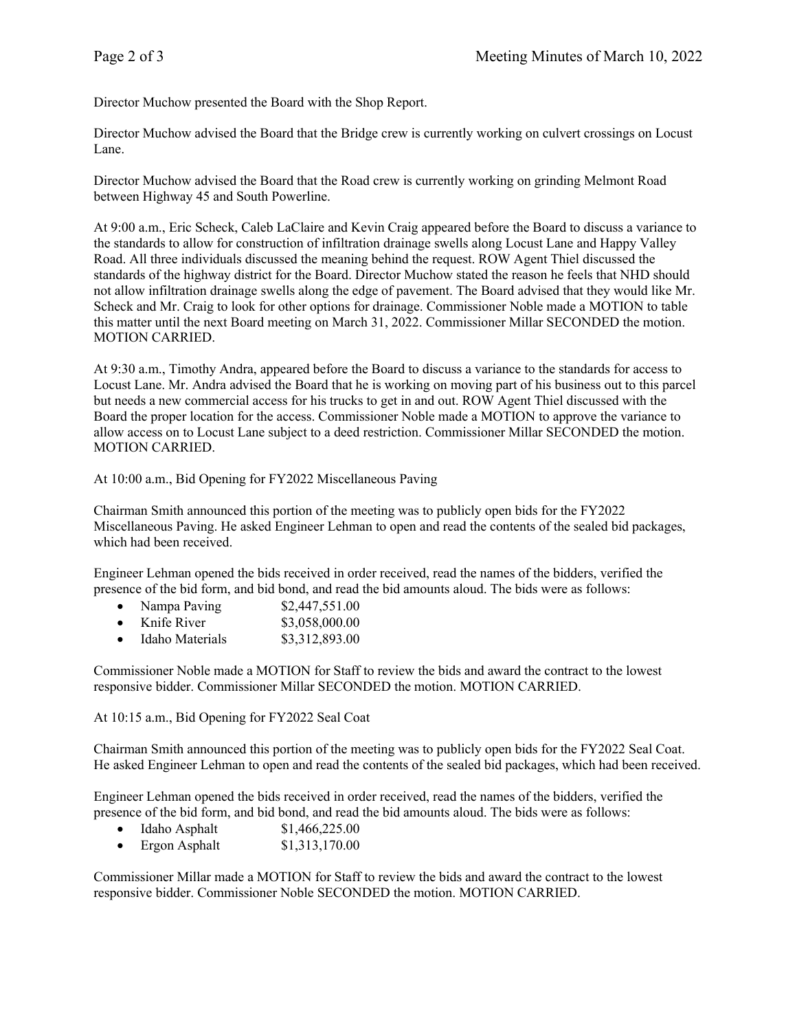Director Muchow presented the Board with the Shop Report.

Director Muchow advised the Board that the Bridge crew is currently working on culvert crossings on Locust Lane.

Director Muchow advised the Board that the Road crew is currently working on grinding Melmont Road between Highway 45 and South Powerline.

At 9:00 a.m., Eric Scheck, Caleb LaClaire and Kevin Craig appeared before the Board to discuss a variance to the standards to allow for construction of infiltration drainage swells along Locust Lane and Happy Valley Road. All three individuals discussed the meaning behind the request. ROW Agent Thiel discussed the standards of the highway district for the Board. Director Muchow stated the reason he feels that NHD should not allow infiltration drainage swells along the edge of pavement. The Board advised that they would like Mr. Scheck and Mr. Craig to look for other options for drainage. Commissioner Noble made a MOTION to table this matter until the next Board meeting on March 31, 2022. Commissioner Millar SECONDED the motion. MOTION CARRIED.

At 9:30 a.m., Timothy Andra, appeared before the Board to discuss a variance to the standards for access to Locust Lane. Mr. Andra advised the Board that he is working on moving part of his business out to this parcel but needs a new commercial access for his trucks to get in and out. ROW Agent Thiel discussed with the Board the proper location for the access. Commissioner Noble made a MOTION to approve the variance to allow access on to Locust Lane subject to a deed restriction. Commissioner Millar SECONDED the motion. MOTION CARRIED.

At 10:00 a.m., Bid Opening for FY2022 Miscellaneous Paving

Chairman Smith announced this portion of the meeting was to publicly open bids for the FY2022 Miscellaneous Paving. He asked Engineer Lehman to open and read the contents of the sealed bid packages, which had been received.

Engineer Lehman opened the bids received in order received, read the names of the bidders, verified the presence of the bid form, and bid bond, and read the bid amounts aloud. The bids were as follows:

|  | Nampa Paving | \$2,447,551.00 |
|--|--------------|----------------|
|--|--------------|----------------|

| Knife River | \$3,058,000.00 |
|-------------|----------------|
|-------------|----------------|

• Idaho Materials \$3,312,893.00

Commissioner Noble made a MOTION for Staff to review the bids and award the contract to the lowest responsive bidder. Commissioner Millar SECONDED the motion. MOTION CARRIED.

At 10:15 a.m., Bid Opening for FY2022 Seal Coat

Chairman Smith announced this portion of the meeting was to publicly open bids for the FY2022 Seal Coat. He asked Engineer Lehman to open and read the contents of the sealed bid packages, which had been received.

Engineer Lehman opened the bids received in order received, read the names of the bidders, verified the presence of the bid form, and bid bond, and read the bid amounts aloud. The bids were as follows:

- Idaho Asphalt  $$1,466,225.00$
- Ergon Asphalt  $$1,313,170.00$

Commissioner Millar made a MOTION for Staff to review the bids and award the contract to the lowest responsive bidder. Commissioner Noble SECONDED the motion. MOTION CARRIED.